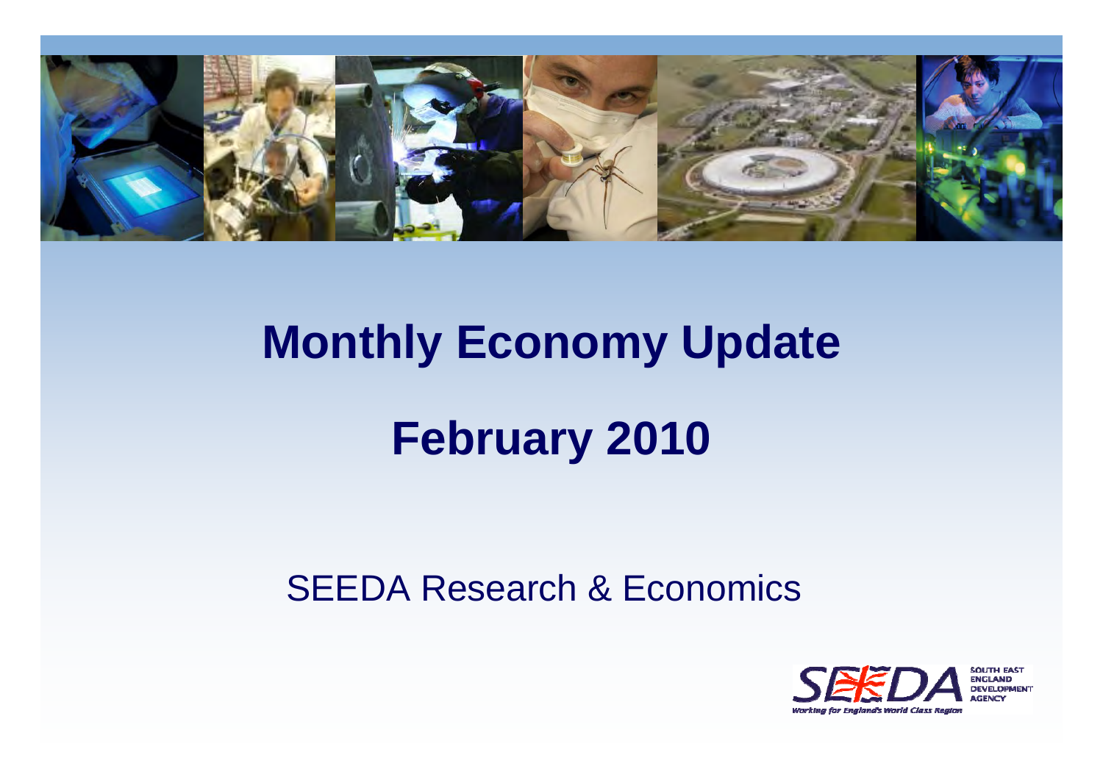

# **Monthly Economy Update**

# **February 2010**

#### SEEDA Research & Economics

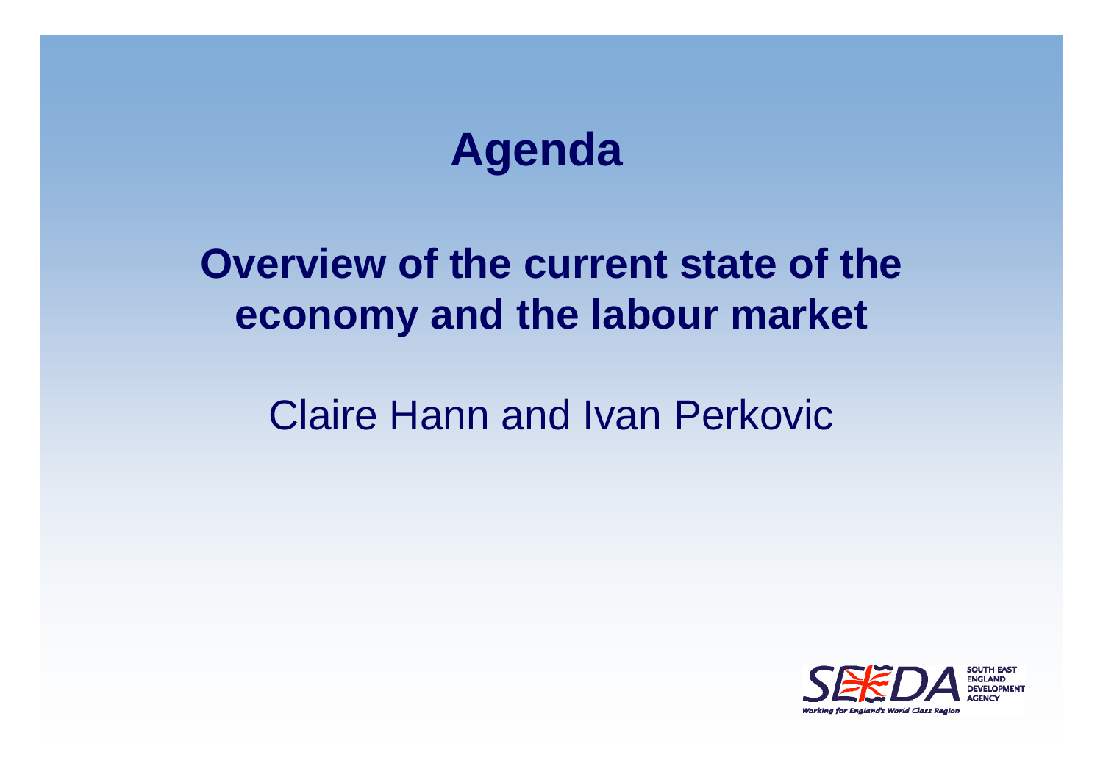# **Agenda**

## **Overview of the current state of the economy and the labour market**

#### Claire Hann and Ivan Perkovic

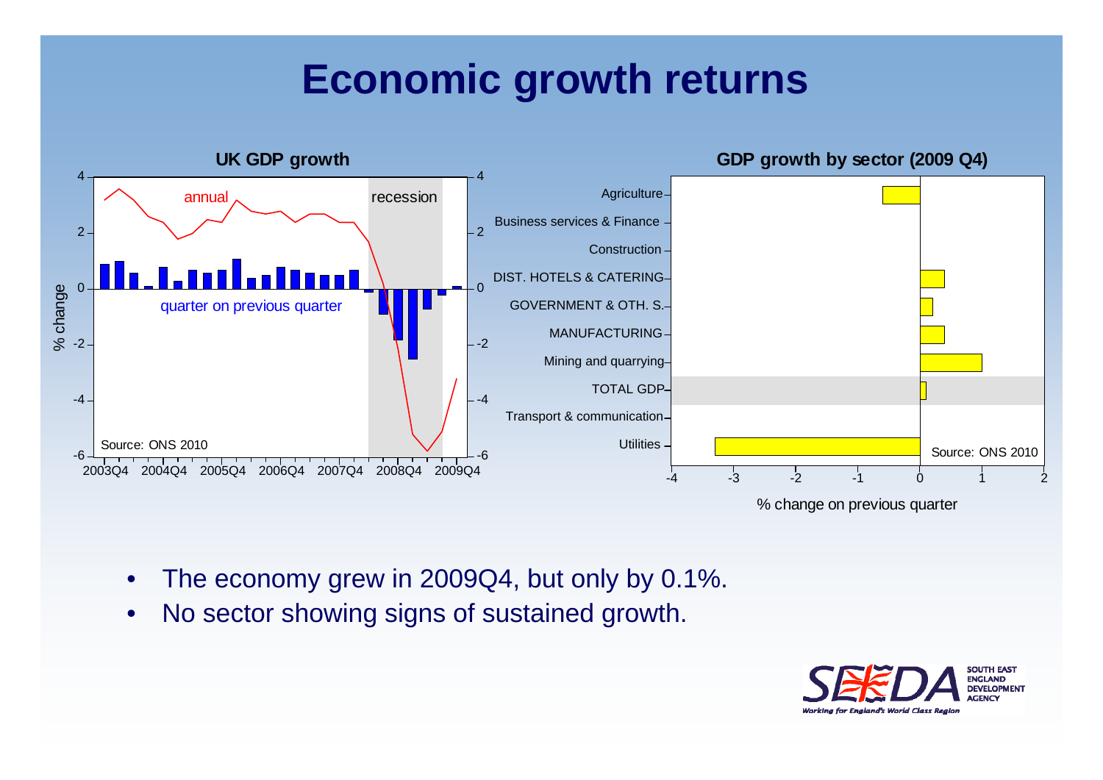#### **Economic growth returns**



- •The economy grew in 2009Q4, but only by 0.1%.
- •No sector showing signs of sustained growth.

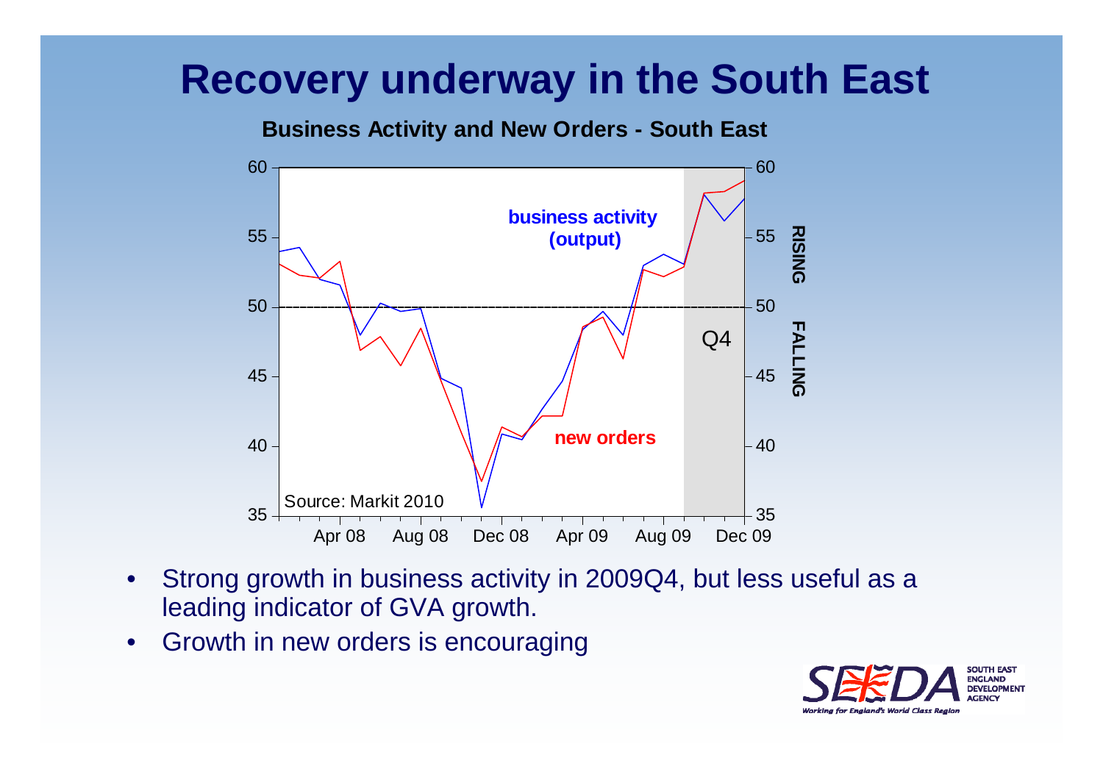#### **Recovery underway in the South East**

**Business Activity and New Orders - South East**



- $\bullet$  Strong growth in business activity in 2009Q4, but less useful as <sup>a</sup> leading indicator of GVA growth.
- $\bullet$ Growth in new orders is encouraging

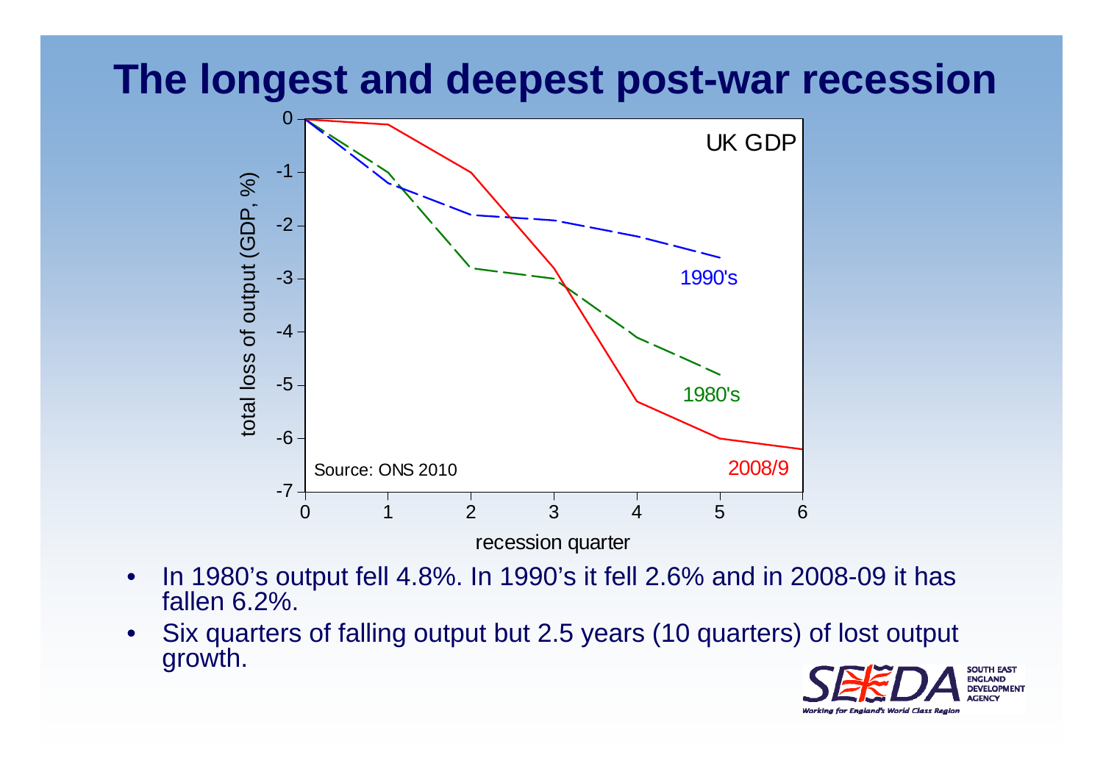#### **The longest and deepest post-war recession**



 In 1980's output fell 4.8%. In 1990's it fell 2.6% and in 2008-09 it has fallen 6.2%.

•

 $\bullet$  Six quarters of falling output but 2.5 years (10 quarters) of lost output growth.

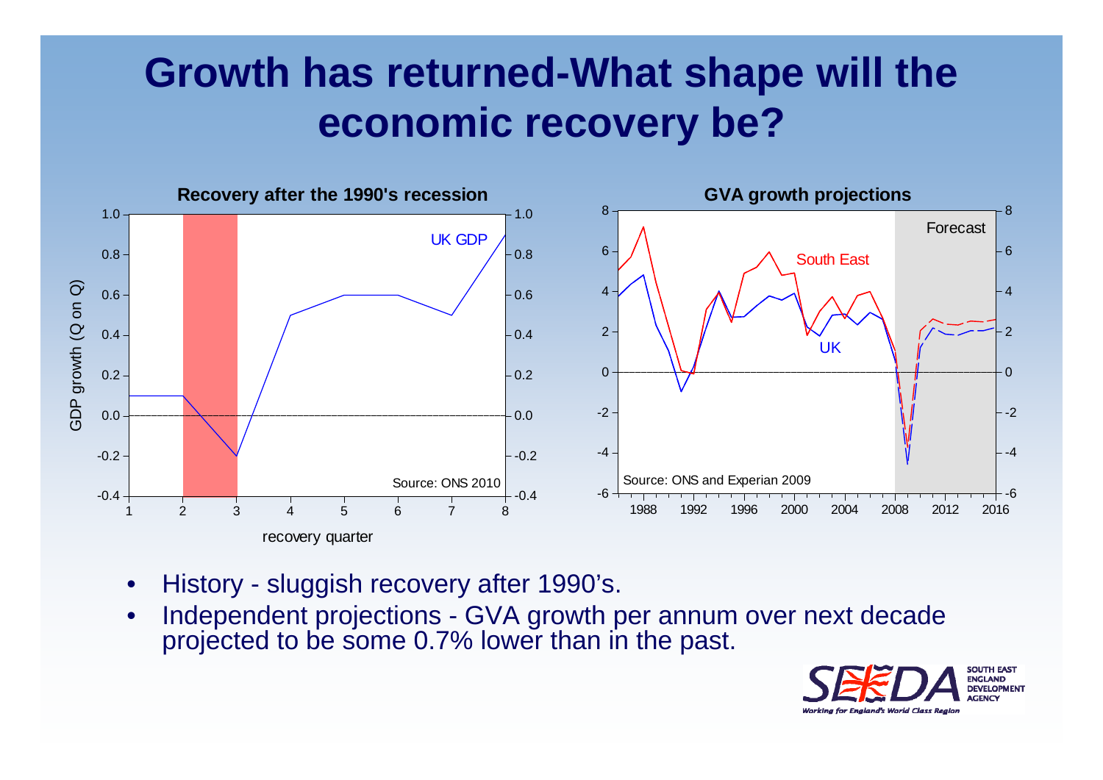## **Growth has returned-What shape will the economic recovery be?**



- •History - sluggish recovery after 1990's.
- • Independent projections - GVA growth per annum over next decade projected to be some 0.7% lower than in the past.

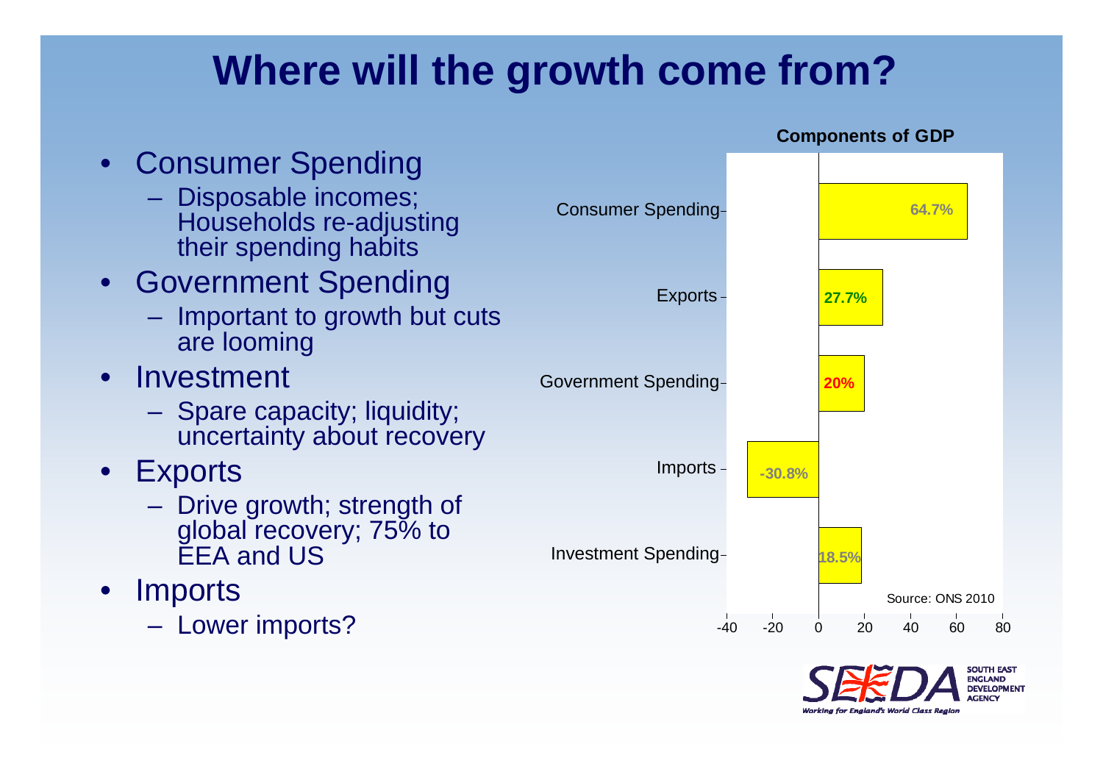## **Where will the growth come from?**



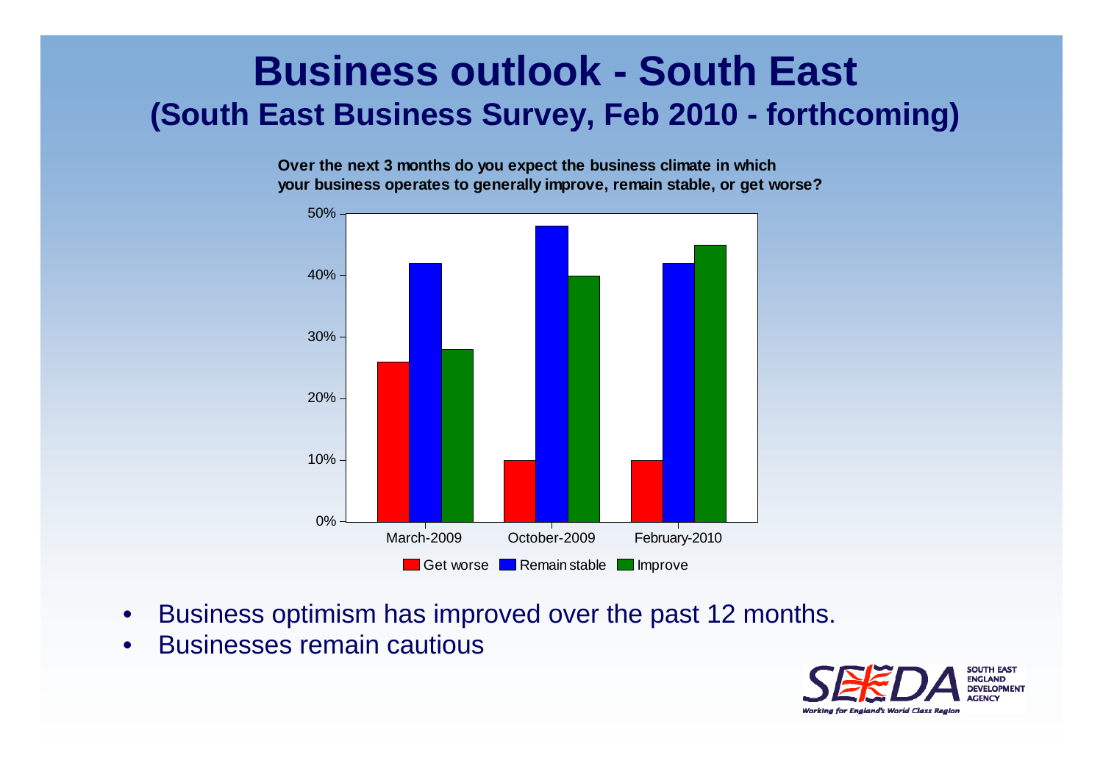#### **Business outlook - South East (South East Business Survey, Feb 2010 - forthcoming)**

**Over the next 3 months do you expect the business climate in which your business operates to generally improve, remain stable, or get worse?**



- •Business optimism has improved over the past 12 months.
- •Businesses remain cautious

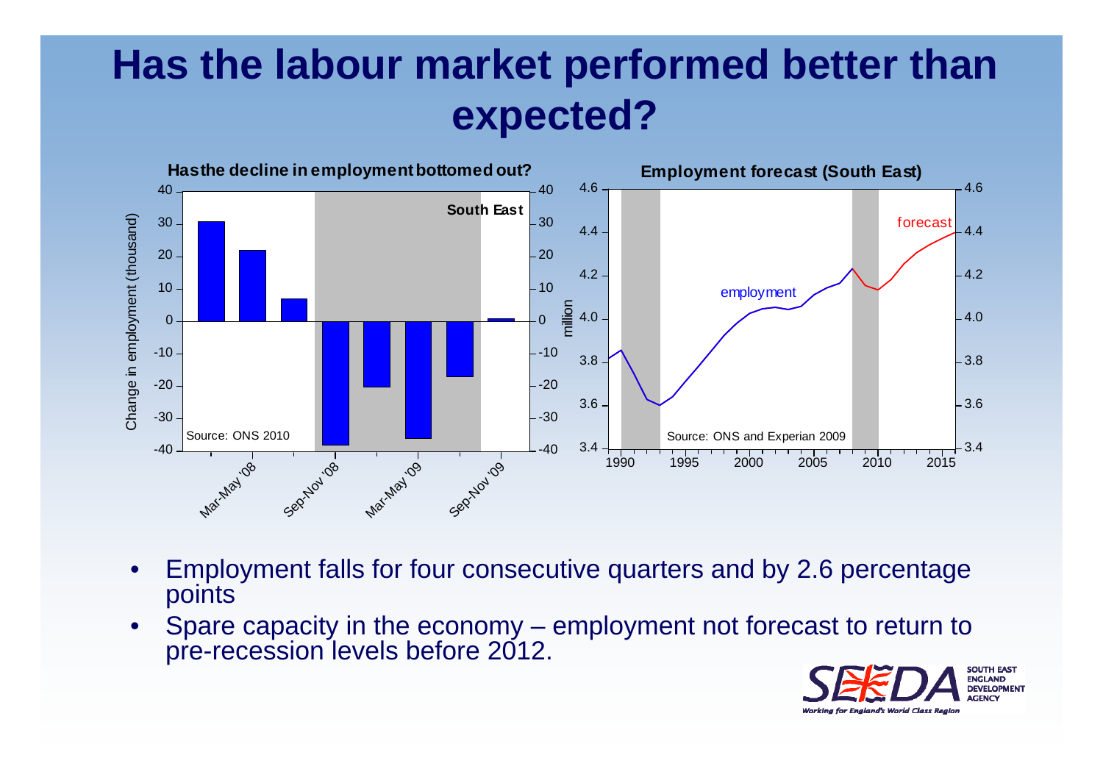## **Has the labour market performed better than expected?**



- • Employment falls for four consecutive quarters and by 2.6 percentage points
- • Spare capacity in the economy – employment not forecast to return to pre-recession levels before 2012.

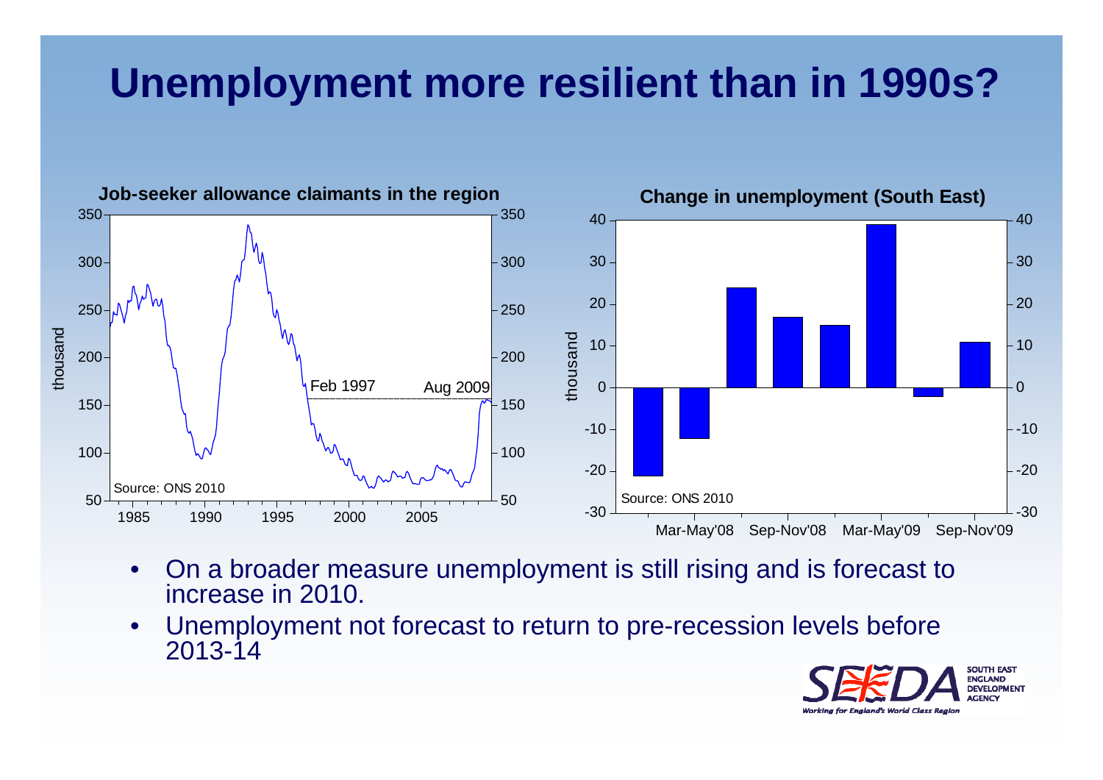## **Unemployment more resilient than in 1990s?**



- $\bullet$  On a broader measure unemployment is still rising and is forecast to increase in 2010.
- • Unemployment not forecast to return to pre-recession levels before 2013-14

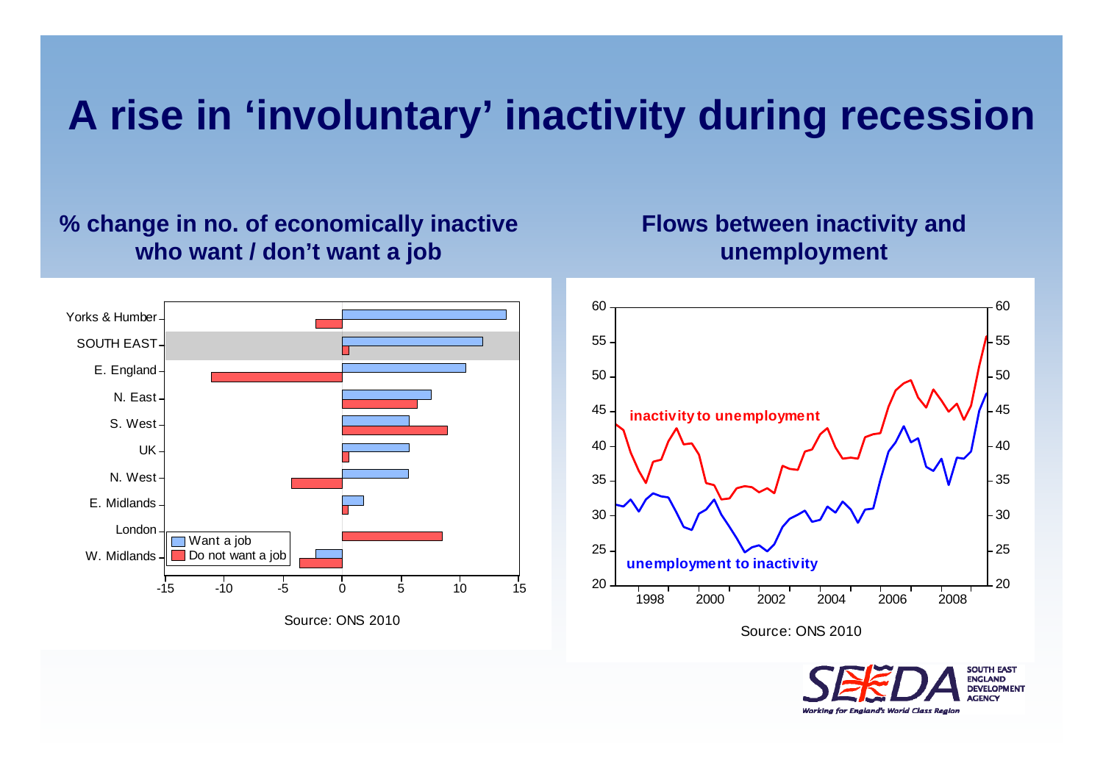#### **A rise in 'involuntary' inactivity during recession**

#### **% change in no. of economically inactive who want / don't want a job**

#### **Flows between inactivity and unemployment**





20

25

30

35

40

45

50

55

60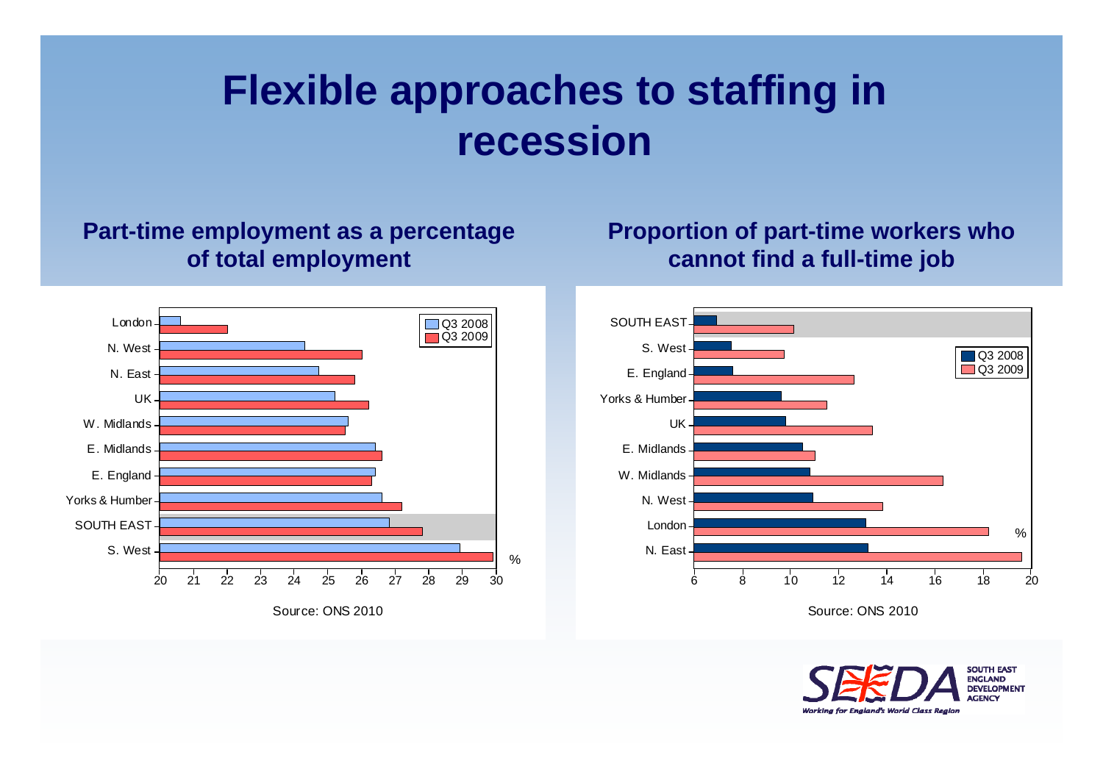## **Flexible approaches to staffing in recession**

#### **Part-time employment as a percentage of total employment**

#### **Proportion of part-time workers who cannot find a full-time job**





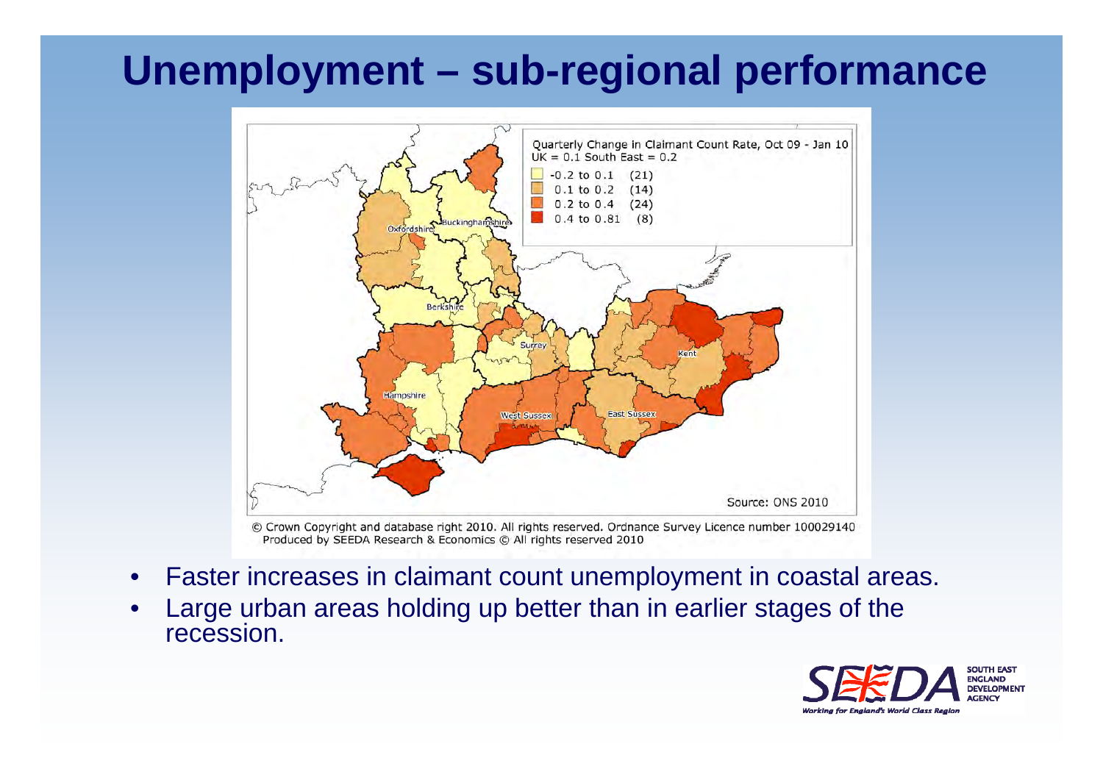#### **Unemployment – sub-regional performance**



© Crown Copyright and database right 2010. All rights reserved. Ordnance Survey Licence number 100029140 Produced by SEEDA Research & Economics © All rights reserved 2010

- •Faster increases in claimant count unemployment in coastal areas.
- • Large urban areas holding up better than in earlier stages of the recession.